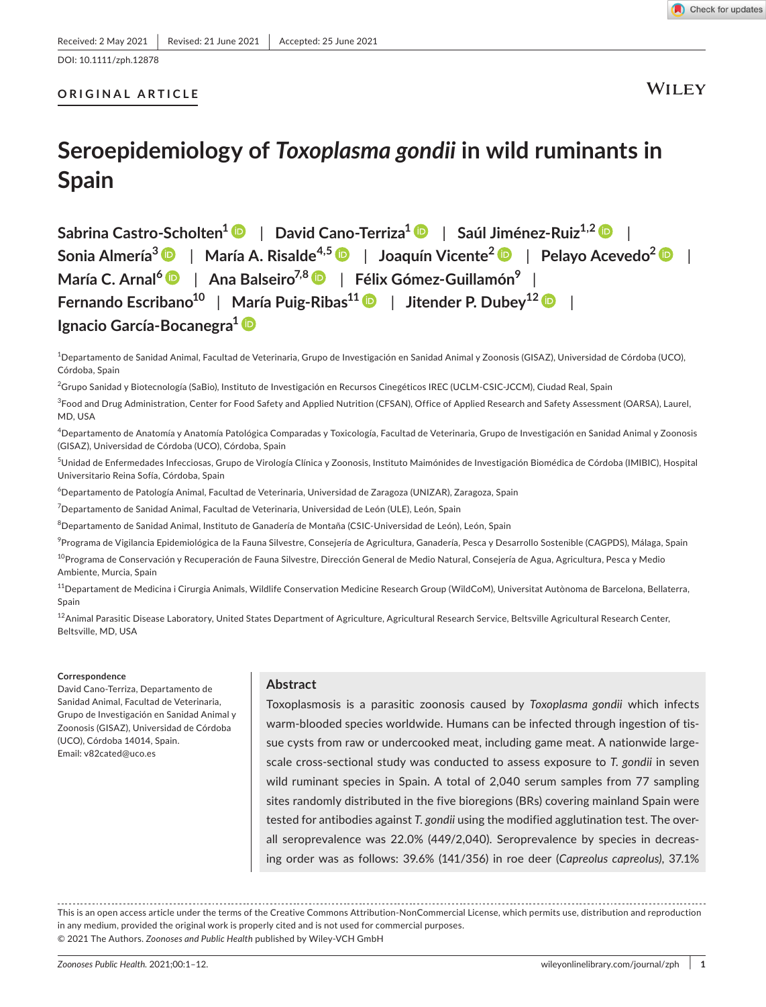Check for updates

# **Seroepidemiology of** *Toxoplasma gondii* **in wild ruminants in Spain**

**Sabrina Castro-Scholten1** | **David Cano-Terriza1** | **Saúl Jiménez-Ruiz1,[2](https://orcid.org/0000-0003-2090-9353)** | **Sonia Almería[3](https://orcid.org/0000-0002-0558-5488)** | **María A. Risalde4,[5](https://orcid.org/0000-0001-6751-1305)** | **Joaquín Vicente2** | **Pelayo Acevedo[2](https://orcid.org/0000-0002-3509-7696)** | **María C. Arnal[6](https://orcid.org/0000-0002-6770-3400)** | **Ana Balseiro7,[8](https://orcid.org/0000-0002-5121-7264)** | **Félix Gómez-Guillamón<sup>9</sup>** | **Fernando Escribano10** | **María Puig-Ribas11** | **Jitender P. Dubey12** | **Ignacio García-Bocanegra1**

1 Departamento de Sanidad Animal, Facultad de Veterinaria, Grupo de Investigación en Sanidad Animal y Zoonosis (GISAZ), Universidad de Córdoba (UCO), Córdoba, Spain

<sup>2</sup>Grupo Sanidad y Biotecnología (SaBio), Instituto de Investigación en Recursos Cinegéticos IREC (UCLM-CSIC-JCCM), Ciudad Real, Spain

 $^3$ Food and Drug Administration, Center for Food Safety and Applied Nutrition (CFSAN), Office of Applied Research and Safety Assessment (OARSA), Laurel, MD, USA

4 Departamento de Anatomía y Anatomía Patológica Comparadas y Toxicología, Facultad de Veterinaria, Grupo de Investigación en Sanidad Animal y Zoonosis (GISAZ), Universidad de Córdoba (UCO), Córdoba, Spain

<sup>5</sup>Unidad de Enfermedades Infecciosas, Grupo de Virología Clínica y Zoonosis, Instituto Maimónides de Investigación Biomédica de Córdoba (IMIBIC), Hospital Universitario Reina Sofía, Córdoba, Spain

<sup>6</sup>Departamento de Patología Animal, Facultad de Veterinaria, Universidad de Zaragoza (UNIZAR), Zaragoza, Spain

 $^7$ Departamento de Sanidad Animal, Facultad de Veterinaria, Universidad de León (ULE), León, Spain

 $^8$ Departamento de Sanidad Animal, Instituto de Ganadería de Montaña (CSIC-Universidad de León), León, Spain

<sup>9</sup>Programa de Vigilancia Epidemiológica de la Fauna Silvestre, Consejería de Agricultura, Ganadería, Pesca y Desarrollo Sostenible (CAGPDS), Málaga, Spain

<sup>10</sup>Programa de Conservación y Recuperación de Fauna Silvestre, Dirección General de Medio Natural, Consejería de Agua, Agricultura, Pesca y Medio Ambiente, Murcia, Spain

<sup>11</sup>Departament de Medicina i Cirurgia Animals, Wildlife Conservation Medicine Research Group (WildCoM), Universitat Autònoma de Barcelona, Bellaterra, Spain

<sup>12</sup>Animal Parasitic Disease Laboratory, United States Department of Agriculture, Agricultural Research Service, Beltsville Agricultural Research Center, Beltsville, MD, USA

#### **Correspondence**

David Cano-Terriza, Departamento de Sanidad Animal, Facultad de Veterinaria, Grupo de Investigación en Sanidad Animal y Zoonosis (GISAZ), Universidad de Córdoba (UCO), Córdoba 14014, Spain. Email: [v82cated@uco.es](mailto:v82cated@uco.es)

## **Abstract**

Toxoplasmosis is a parasitic zoonosis caused by *Toxoplasma gondii* which infects warm-blooded species worldwide. Humans can be infected through ingestion of tissue cysts from raw or undercooked meat, including game meat. A nationwide largescale cross-sectional study was conducted to assess exposure to *T. gondii* in seven wild ruminant species in Spain. A total of 2,040 serum samples from 77 sampling sites randomly distributed in the five bioregions (BRs) covering mainland Spain were tested for antibodies against *T. gondii* using the modified agglutination test. The overall seroprevalence was 22.0% (449/2,040). Seroprevalence by species in decreasing order was as follows: 39.6% (141/356) in roe deer (*Capreolus capreolus)*, 37.1%

This is an open access article under the terms of the [Creative Commons Attribution-NonCommercial](http://creativecommons.org/licenses/by-nc/4.0/) License, which permits use, distribution and reproduction in any medium, provided the original work is properly cited and is not used for commercial purposes. © 2021 The Authors. *Zoonoses and Public Health* published by Wiley-VCH GmbH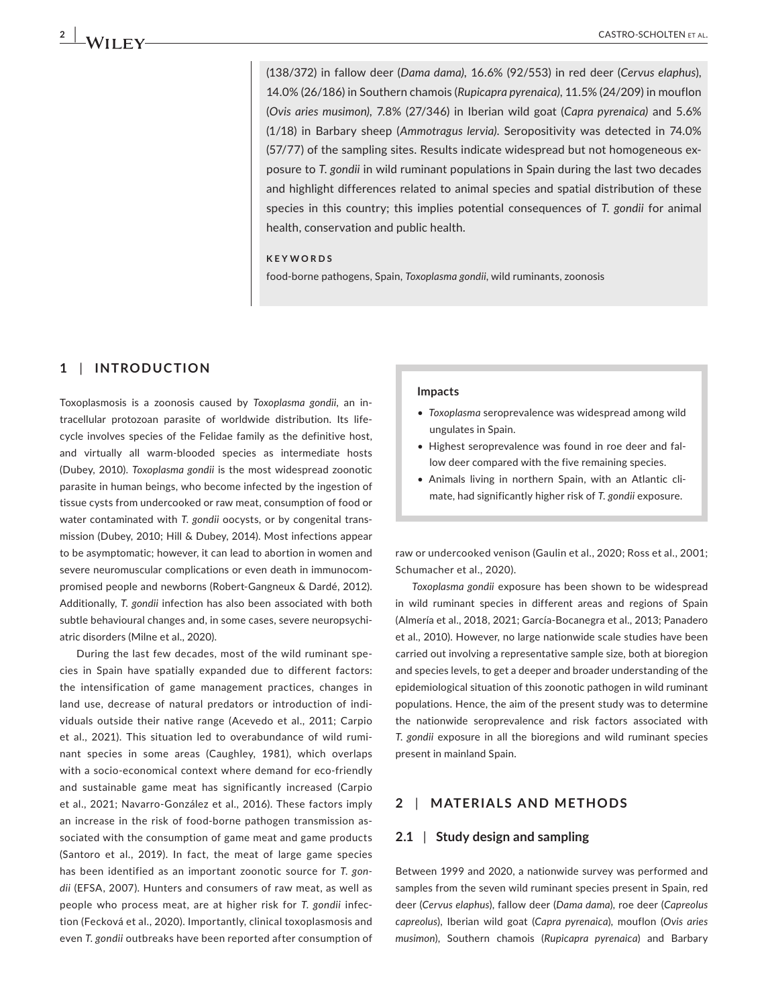(138/372) in fallow deer (*Dama dama)*, 16.6% (92/553) in red deer (*Cervus elaphus*), 14.0% (26/186) in Southern chamois (*Rupicapra pyrenaica)*, 11.5% (24/209) in mouflon (*Ovis aries musimon)*, 7.8% (27/346) in Iberian wild goat (*Capra pyrenaica)* and 5.6% (1/18) in Barbary sheep (*Ammotragus lervia)*. Seropositivity was detected in 74.0% (57/77) of the sampling sites. Results indicate widespread but not homogeneous exposure to *T. gondii* in wild ruminant populations in Spain during the last two decades and highlight differences related to animal species and spatial distribution of these species in this country; this implies potential consequences of *T. gondii* for animal health, conservation and public health.

#### **KEYWORDS**

food-borne pathogens, Spain, *Toxoplasma gondii*, wild ruminants, zoonosis

## **1** | **INTRODUCTION**

Toxoplasmosis is a zoonosis caused by *Toxoplasma gondii*, an intracellular protozoan parasite of worldwide distribution. Its lifecycle involves species of the Felidae family as the definitive host, and virtually all warm-blooded species as intermediate hosts (Dubey, 2010). *Toxoplasma gondii* is the most widespread zoonotic parasite in human beings, who become infected by the ingestion of tissue cysts from undercooked or raw meat, consumption of food or water contaminated with *T. gondii* oocysts, or by congenital transmission (Dubey, 2010; Hill & Dubey, 2014). Most infections appear to be asymptomatic; however, it can lead to abortion in women and severe neuromuscular complications or even death in immunocompromised people and newborns (Robert-Gangneux & Dardé, 2012). Additionally, *T. gondii* infection has also been associated with both subtle behavioural changes and, in some cases, severe neuropsychiatric disorders (Milne et al., 2020).

During the last few decades, most of the wild ruminant species in Spain have spatially expanded due to different factors: the intensification of game management practices, changes in land use, decrease of natural predators or introduction of individuals outside their native range (Acevedo et al., 2011; Carpio et al., 2021). This situation led to overabundance of wild ruminant species in some areas (Caughley, 1981), which overlaps with a socio-economical context where demand for eco-friendly and sustainable game meat has significantly increased (Carpio et al., 2021; Navarro-González et al., 2016). These factors imply an increase in the risk of food-borne pathogen transmission associated with the consumption of game meat and game products (Santoro et al., 2019). In fact, the meat of large game species has been identified as an important zoonotic source for *T. gondii* (EFSA, 2007). Hunters and consumers of raw meat, as well as people who process meat, are at higher risk for *T. gondii* infection (Fecková et al., 2020). Importantly, clinical toxoplasmosis and even *T. gondii* outbreaks have been reported after consumption of

#### **Impacts**

- *Toxoplasma* seroprevalence was widespread among wild ungulates in Spain.
- Highest seroprevalence was found in roe deer and fallow deer compared with the five remaining species.
- Animals living in northern Spain, with an Atlantic climate, had significantly higher risk of *T. gondii* exposure.

raw or undercooked venison (Gaulin et al., 2020; Ross et al., 2001; Schumacher et al., 2020).

*Toxoplasma gondii* exposure has been shown to be widespread in wild ruminant species in different areas and regions of Spain (Almería et al., 2018, 2021; García-Bocanegra et al., 2013; Panadero et al., 2010). However, no large nationwide scale studies have been carried out involving a representative sample size, both at bioregion and species levels, to get a deeper and broader understanding of the epidemiological situation of this zoonotic pathogen in wild ruminant populations. Hence, the aim of the present study was to determine the nationwide seroprevalence and risk factors associated with *T. gondii* exposure in all the bioregions and wild ruminant species present in mainland Spain.

## **2** | **MATERIALS AND METHODS**

### **2.1** | **Study design and sampling**

Between 1999 and 2020, a nationwide survey was performed and samples from the seven wild ruminant species present in Spain, red deer (*Cervus elaphus*), fallow deer (*Dama dama*), roe deer (*Capreolus capreolus*), Iberian wild goat (*Capra pyrenaica*), mouflon (*Ovis aries musimon*), Southern chamois (*Rupicapra pyrenaica*) and Barbary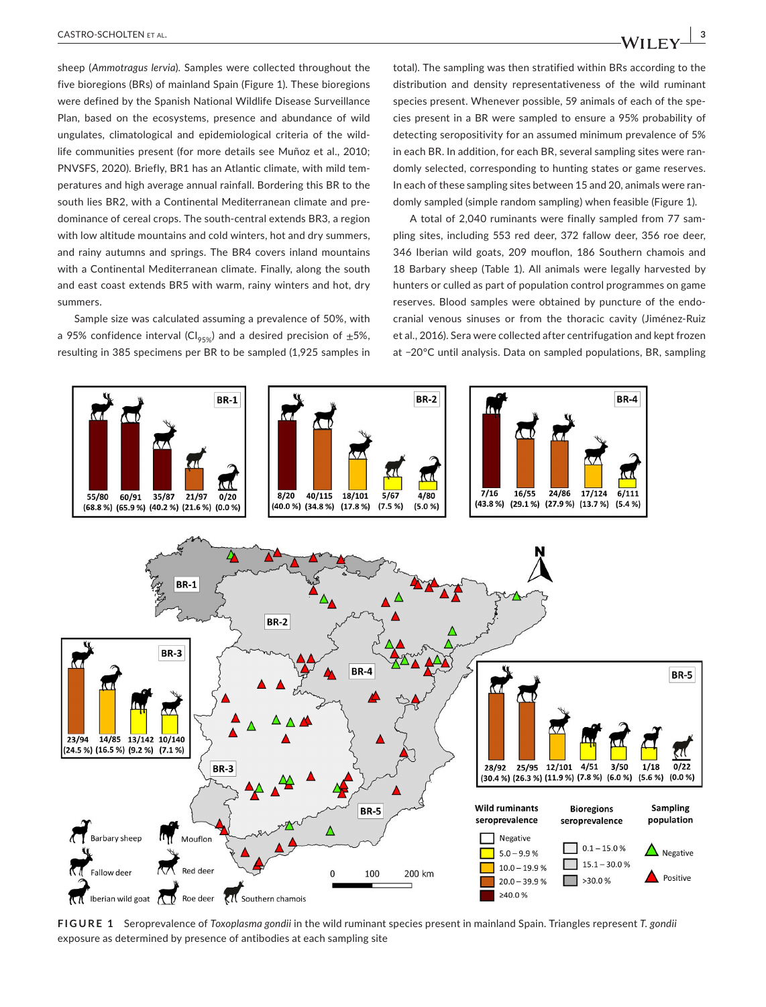summers.

sheep (*Ammotragus lervia*). Samples were collected throughout the five bioregions (BRs) of mainland Spain (Figure 1). These bioregions were defined by the Spanish National Wildlife Disease Surveillance Plan, based on the ecosystems, presence and abundance of wild ungulates, climatological and epidemiological criteria of the wildlife communities present (for more details see Muñoz et al., 2010; PNVSFS, 2020). Briefly, BR1 has an Atlantic climate, with mild temperatures and high average annual rainfall. Bordering this BR to the south lies BR2, with a Continental Mediterranean climate and predominance of cereal crops. The south-central extends BR3, a region with low altitude mountains and cold winters, hot and dry summers, and rainy autumns and springs. The BR4 covers inland mountains with a Continental Mediterranean climate. Finally, along the south and east coast extends BR5 with warm, rainy winters and hot, dry

Sample size was calculated assuming a prevalence of 50%, with a 95% confidence interval (CI<sub>95%</sub>) and a desired precision of  $\pm$ 5%, resulting in 385 specimens per BR to be sampled (1,925 samples in total). The sampling was then stratified within BRs according to the distribution and density representativeness of the wild ruminant species present. Whenever possible, 59 animals of each of the species present in a BR were sampled to ensure a 95% probability of detecting seropositivity for an assumed minimum prevalence of 5% in each BR. In addition, for each BR, several sampling sites were randomly selected, corresponding to hunting states or game reserves. In each of these sampling sites between 15 and 20, animals were randomly sampled (simple random sampling) when feasible (Figure 1).

A total of 2,040 ruminants were finally sampled from 77 sampling sites, including 553 red deer, 372 fallow deer, 356 roe deer, 346 Iberian wild goats, 209 mouflon, 186 Southern chamois and 18 Barbary sheep (Table 1). All animals were legally harvested by hunters or culled as part of population control programmes on game reserves. Blood samples were obtained by puncture of the endocranial venous sinuses or from the thoracic cavity (Jiménez-Ruiz et al., 2016). Sera were collected after centrifugation and kept frozen at −20°C until analysis. Data on sampled populations, BR, sampling



**FIGURE 1** Seroprevalence of *Toxoplasma gondii* in the wild ruminant species present in mainland Spain. Triangles represent *T. gondii* exposure as determined by presence of antibodies at each sampling site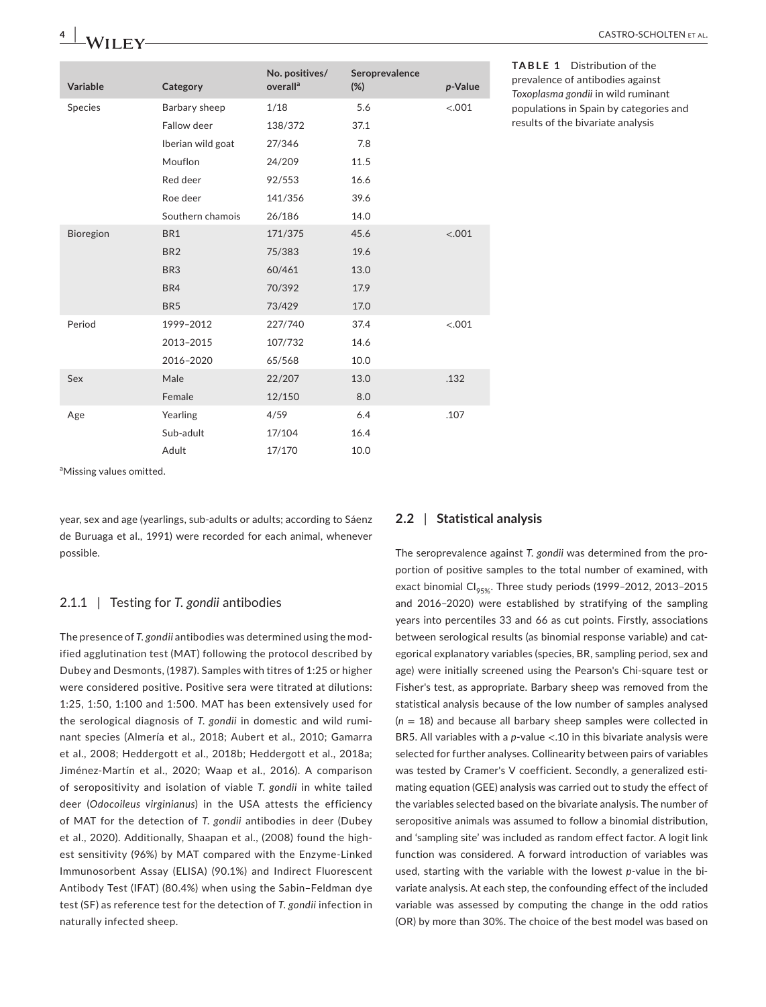# **4 1** *M***/II <b>EV** *CASTRO-SCHOLTEN ET AL.*

| Variable  | Category          | No. positives/<br>overall <sup>a</sup> | Seroprevalence<br>(%) | p-Value |
|-----------|-------------------|----------------------------------------|-----------------------|---------|
| Species   | Barbary sheep     | 1/18                                   | 5.6                   | < .001  |
|           | Fallow deer       | 138/372                                | 37.1                  |         |
|           | Iberian wild goat | 27/346                                 | 7.8                   |         |
|           | Mouflon           | 24/209                                 | 11.5                  |         |
|           | Red deer          | 92/553                                 | 16.6                  |         |
|           | Roe deer          | 141/356                                | 39.6                  |         |
|           | Southern chamois  | 26/186                                 | 14.0                  |         |
| Bioregion | BR1               | 171/375                                | 45.6                  | < .001  |
|           | BR <sub>2</sub>   | 75/383                                 | 19.6                  |         |
|           | BR <sub>3</sub>   | 60/461                                 | 13.0                  |         |
|           | BR4               | 70/392                                 | 17.9                  |         |
|           | BR <sub>5</sub>   | 73/429                                 | 17.0                  |         |
| Period    | 1999-2012         | 227/740                                | 37.4                  | < .001  |
|           | 2013-2015         | 107/732                                | 14.6                  |         |
|           | 2016-2020         | 65/568                                 | 10.0                  |         |
| Sex       | Male              | 22/207                                 | 13.0                  | .132    |
|           | Female            | 12/150                                 | 8.0                   |         |
| Age       | Yearling          | 4/59                                   | 6.4                   | .107    |
|           | Sub-adult         | 17/104                                 | 16.4                  |         |
|           | Adult             | 17/170                                 | 10.0                  |         |

**TABLE 1** Distribution of the prevalence of antibodies against *Toxoplasma gondii* in wild ruminant populations in Spain by categories and results of the bivariate analysis

<sup>a</sup>Missing values omitted.

year, sex and age (yearlings, sub-adults or adults; according to Sáenz de Buruaga et al., 1991) were recorded for each animal, whenever possible.

## 2.1.1 | Testing for *T. gondii* antibodies

The presence of *T. gondii* antibodies was determined using the modified agglutination test (MAT) following the protocol described by Dubey and Desmonts, (1987). Samples with titres of 1:25 or higher were considered positive. Positive sera were titrated at dilutions: 1:25, 1:50, 1:100 and 1:500. MAT has been extensively used for the serological diagnosis of *T. gondii* in domestic and wild ruminant species (Almería et al., 2018; Aubert et al., 2010; Gamarra et al., 2008; Heddergott et al., 2018b; Heddergott et al., 2018a; Jiménez-Martín et al., 2020; Waap et al., 2016). A comparison of seropositivity and isolation of viable *T. gondii* in white tailed deer (*Odocoileus virginianus*) in the USA attests the efficiency of MAT for the detection of *T. gondii* antibodies in deer (Dubey et al., 2020). Additionally, Shaapan et al., (2008) found the highest sensitivity (96%) by MAT compared with the Enzyme-Linked Immunosorbent Assay (ELISA) (90.1%) and Indirect Fluorescent Antibody Test (IFAT) (80.4%) when using the Sabin–Feldman dye test (SF) as reference test for the detection of *T. gondii* infection in naturally infected sheep.

## **2.2** | **Statistical analysis**

The seroprevalence against *T. gondii* was determined from the proportion of positive samples to the total number of examined, with exact binomial Cl<sub>95%</sub>. Three study periods (1999-2012, 2013-2015 and 2016–2020) were established by stratifying of the sampling years into percentiles 33 and 66 as cut points. Firstly, associations between serological results (as binomial response variable) and categorical explanatory variables (species, BR, sampling period, sex and age) were initially screened using the Pearson's Chi-square test or Fisher's test, as appropriate. Barbary sheep was removed from the statistical analysis because of the low number of samples analysed (*n* = 18) and because all barbary sheep samples were collected in BR5. All variables with a *p*-value <.10 in this bivariate analysis were selected for further analyses. Collinearity between pairs of variables was tested by Cramer's V coefficient. Secondly, a generalized estimating equation (GEE) analysis was carried out to study the effect of the variables selected based on the bivariate analysis. The number of seropositive animals was assumed to follow a binomial distribution, and 'sampling site' was included as random effect factor. A logit link function was considered. A forward introduction of variables was used, starting with the variable with the lowest *p*-value in the bivariate analysis. At each step, the confounding effect of the included variable was assessed by computing the change in the odd ratios (OR) by more than 30%. The choice of the best model was based on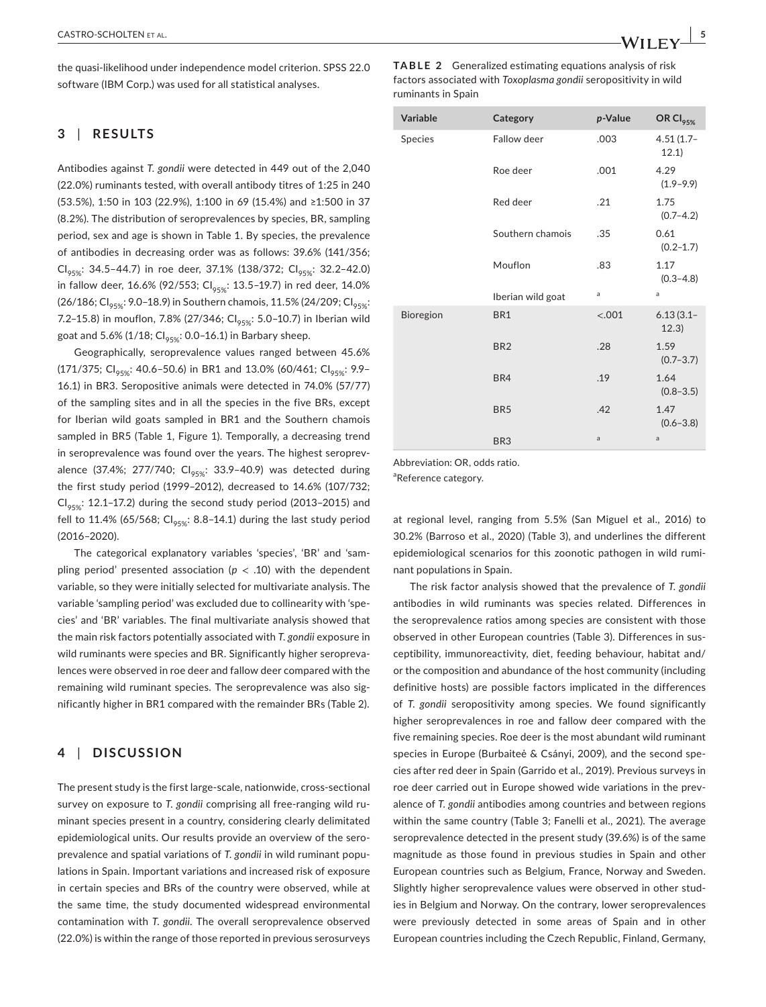the quasi-likelihood under independence model criterion. SPSS 22.0 software (IBM Corp.) was used for all statistical analyses.

## **3** | **RESULTS**

Antibodies against *T. gondii* were detected in 449 out of the 2,040 (22.0%) ruminants tested, with overall antibody titres of 1:25 in 240 (53.5%), 1:50 in 103 (22.9%), 1:100 in 69 (15.4%) and ≥1:500 in 37 (8.2%). The distribution of seroprevalences by species, BR, sampling period, sex and age is shown in Table 1. By species, the prevalence of antibodies in decreasing order was as follows: 39.6% (141/356; Cl<sub>95%</sub>: 34.5-44.7) in roe deer, 37.1% (138/372; Cl<sub>95%</sub>: 32.2-42.0) in fallow deer,  $16.6\%$  (92/553; CI<sub>95%</sub>: 13.5-19.7) in red deer, 14.0% (26/186; CI<sub>95%</sub>: 9.0-18.9) in Southern chamois, 11.5% (24/209; CI<sub>95%</sub>: 7.2-15.8) in mouflon, 7.8% (27/346;  $CI_{95\%}$ : 5.0-10.7) in Iberian wild goat and 5.6% (1/18;  $Cl_{95\%}$ : 0.0-16.1) in Barbary sheep.

Geographically, seroprevalence values ranged between 45.6%  $(171/375; Cl<sub>95%</sub>: 40.6-50.6)$  in BR1 and 13.0% (60/461; Cl<sub>95%</sub>: 9.9-16.1) in BR3. Seropositive animals were detected in 74.0% (57/77) of the sampling sites and in all the species in the five BRs, except for Iberian wild goats sampled in BR1 and the Southern chamois sampled in BR5 (Table 1, Figure 1). Temporally, a decreasing trend in seroprevalence was found over the years. The highest seroprevalence (37.4%; 277/740;  $CI<sub>95%</sub>:$  33.9-40.9) was detected during the first study period (1999–2012), decreased to 14.6% (107/732;  $Cl_{95\%}$ : 12.1-17.2) during the second study period (2013-2015) and fell to 11.4% (65/568;  $Cl_{95\%}$ : 8.8-14.1) during the last study period (2016–2020).

The categorical explanatory variables 'species', 'BR' and 'sampling period' presented association ( $p < .10$ ) with the dependent variable, so they were initially selected for multivariate analysis. The variable 'sampling period' was excluded due to collinearity with 'species' and 'BR' variables. The final multivariate analysis showed that the main risk factors potentially associated with *T. gondii* exposure in wild ruminants were species and BR. Significantly higher seroprevalences were observed in roe deer and fallow deer compared with the remaining wild ruminant species. The seroprevalence was also significantly higher in BR1 compared with the remainder BRs (Table 2).

## **4** | **DISCUSSION**

The present study is the first large-scale, nationwide, cross-sectional survey on exposure to *T. gondii* comprising all free-ranging wild ruminant species present in a country, considering clearly delimitated epidemiological units. Our results provide an overview of the seroprevalence and spatial variations of *T. gondii* in wild ruminant populations in Spain. Important variations and increased risk of exposure in certain species and BRs of the country were observed, while at the same time, the study documented widespread environmental contamination with *T. gondii*. The overall seroprevalence observed (22.0%) is within the range of those reported in previous serosurveys **TABLE 2** Generalized estimating equations analysis of risk factors associated with *Toxoplasma gondii* seropositivity in wild ruminants in Spain

|  | Variable         | Category          | p-Value | OR Cl <sub>95%</sub>  |
|--|------------------|-------------------|---------|-----------------------|
|  | <b>Species</b>   | Fallow deer       | .003    | $4.51(1.7 -$<br>12.1) |
|  |                  | Roe deer          | .001    | 4.29<br>$(1.9 - 9.9)$ |
|  |                  | Red deer          | .21     | 1.75<br>$(0.7 - 4.2)$ |
|  |                  | Southern chamois  | .35     | 0.61<br>$(0.2 - 1.7)$ |
|  |                  | Mouflon           | .83     | 1.17<br>$(0.3 - 4.8)$ |
|  |                  | Iberian wild goat | a       | a                     |
|  | <b>Bioregion</b> | BR1               | $-.001$ | $6.13(3.1 -$<br>12.3) |
|  |                  | BR <sub>2</sub>   | .28     | 1.59<br>$(0.7 - 3.7)$ |
|  |                  | BR4               | .19     | 1.64<br>$(0.8 - 3.5)$ |
|  |                  | BR <sub>5</sub>   | .42     | 1.47<br>$(0.6 - 3.8)$ |
|  |                  | BR <sub>3</sub>   | a       | a                     |

Abbreviation: OR, odds ratio.

<sup>a</sup>Reference category.

at regional level, ranging from 5.5% (San Miguel et al., 2016) to 30.2% (Barroso et al., 2020) (Table 3), and underlines the different epidemiological scenarios for this zoonotic pathogen in wild ruminant populations in Spain.

The risk factor analysis showed that the prevalence of *T. gondii* antibodies in wild ruminants was species related. Differences in the seroprevalence ratios among species are consistent with those observed in other European countries (Table 3). Differences in susceptibility, immunoreactivity, diet, feeding behaviour, habitat and/ or the composition and abundance of the host community (including definitive hosts) are possible factors implicated in the differences of *T. gondii* seropositivity among species. We found significantly higher seroprevalences in roe and fallow deer compared with the five remaining species. Roe deer is the most abundant wild ruminant species in Europe (Burbaiteė & Csányi, 2009), and the second species after red deer in Spain (Garrido et al., 2019). Previous surveys in roe deer carried out in Europe showed wide variations in the prevalence of *T. gondii* antibodies among countries and between regions within the same country (Table 3; Fanelli et al., 2021). The average seroprevalence detected in the present study (39.6%) is of the same magnitude as those found in previous studies in Spain and other European countries such as Belgium, France, Norway and Sweden. Slightly higher seroprevalence values were observed in other studies in Belgium and Norway. On the contrary, lower seroprevalences were previously detected in some areas of Spain and in other European countries including the Czech Republic, Finland, Germany,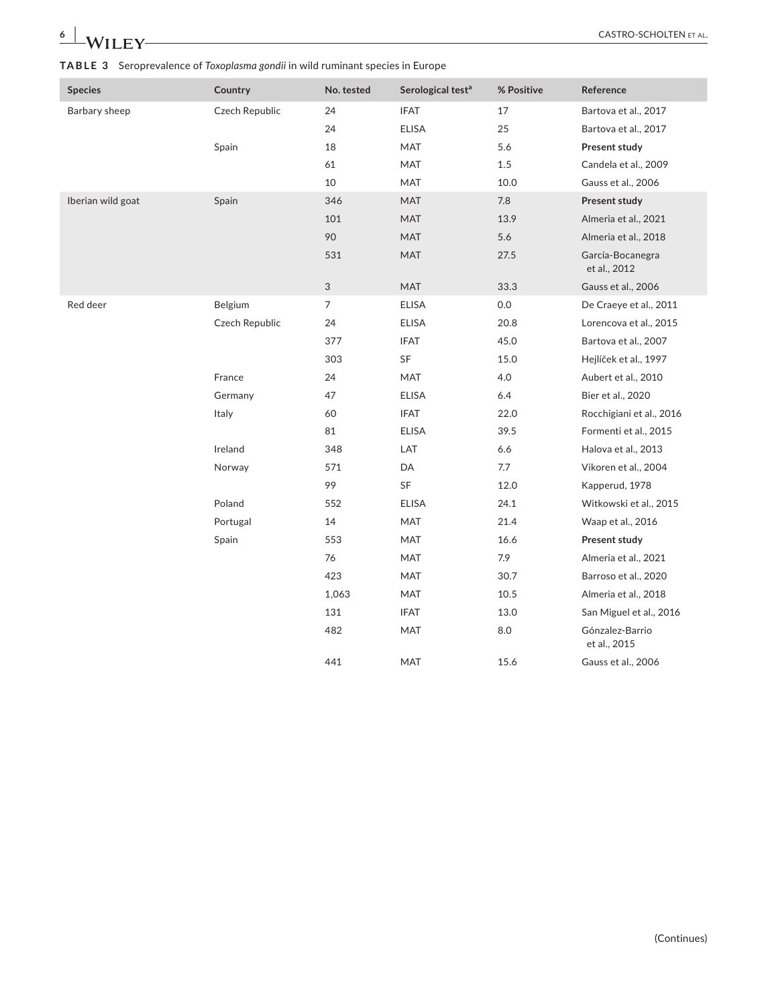| $\perp$ WILEY- |
|----------------|
|----------------|

**TABLE 3** Seroprevalence of *Toxoplasma gondii* in wild ruminant species in Europe

| <b>Species</b>    | Country        | No. tested     | Serological test <sup>a</sup> | % Positive | Reference                        |
|-------------------|----------------|----------------|-------------------------------|------------|----------------------------------|
| Barbary sheep     | Czech Republic | 24             | <b>IFAT</b>                   | 17         | Bartova et al., 2017             |
|                   |                | 24             | <b>ELISA</b>                  | 25         | Bartova et al., 2017             |
|                   | Spain          | 18             | MAT                           | 5.6        | Present study                    |
|                   |                | 61             | MAT                           | 1.5        | Candela et al., 2009             |
|                   |                | 10             | MAT                           | 10.0       | Gauss et al., 2006               |
| Iberian wild goat | Spain          | 346            | <b>MAT</b>                    | 7.8        | Present study                    |
|                   |                | 101            | <b>MAT</b>                    | 13.9       | Almeria et al., 2021             |
|                   |                | 90             | <b>MAT</b>                    | 5.6        | Almeria et al., 2018             |
|                   |                | 531            | MAT                           | 27.5       | García-Bocanegra<br>et al., 2012 |
|                   |                | 3              | MAT                           | 33.3       | Gauss et al., 2006               |
| Red deer          | Belgium        | $\overline{7}$ | <b>ELISA</b>                  | 0.0        | De Craeye et al., 2011           |
|                   | Czech Republic | 24             | <b>ELISA</b>                  | 20.8       | Lorencova et al., 2015           |
|                   |                | 377            | <b>IFAT</b>                   | 45.0       | Bartova et al., 2007             |
|                   |                | 303            | SF                            | 15.0       | Hejlíček et al., 1997            |
|                   | France         | 24             | MAT                           | 4.0        | Aubert et al., 2010              |
|                   | Germany        | 47             | <b>ELISA</b>                  | $6.4\,$    | Bier et al., 2020                |
|                   | Italy          | 60             | <b>IFAT</b>                   | 22.0       | Rocchigiani et al., 2016         |
|                   |                | 81             | <b>ELISA</b>                  | 39.5       | Formenti et al., 2015            |
|                   | Ireland        | 348            | LAT                           | $6.6\,$    | Halova et al., 2013              |
|                   | Norway         | 571            | DA                            | 7.7        | Vikoren et al., 2004             |
|                   |                | 99             | SF                            | 12.0       | Kapperud, 1978                   |
|                   | Poland         | 552            | <b>ELISA</b>                  | 24.1       | Witkowski et al., 2015           |
|                   | Portugal       | 14             | MAT                           | 21.4       | Waap et al., 2016                |
|                   | Spain          | 553            | MAT                           | 16.6       | Present study                    |
|                   |                | 76             | MAT                           | 7.9        | Almeria et al., 2021             |
|                   |                | 423            | MAT                           | 30.7       | Barroso et al., 2020             |
|                   |                | 1,063          | MAT                           | 10.5       | Almeria et al., 2018             |
|                   |                | 131            | <b>IFAT</b>                   | 13.0       | San Miguel et al., 2016          |
|                   |                | 482            | MAT                           | $\rm 8.0$  | Gónzalez-Barrio<br>et al., 2015  |
|                   |                | 441            | MAT                           | 15.6       | Gauss et al., 2006               |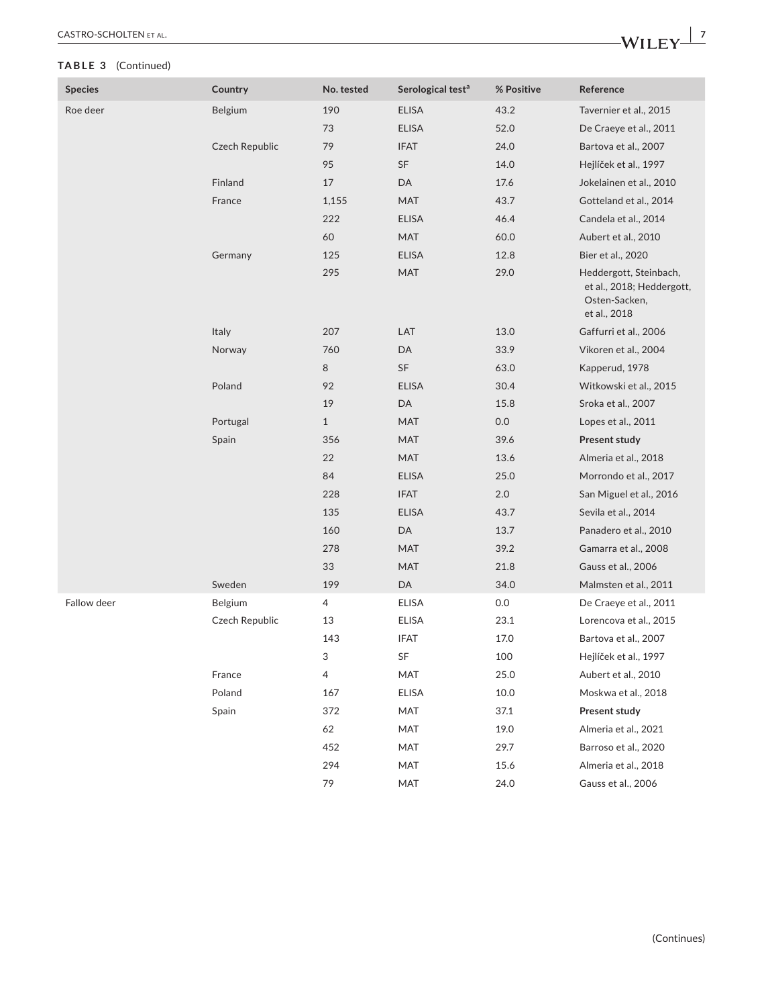# **TABLE 3** (Continued)

| <b>Species</b> | Country        | No. tested     | Serological test <sup>a</sup> | % Positive | Reference                                                                            |
|----------------|----------------|----------------|-------------------------------|------------|--------------------------------------------------------------------------------------|
| Roe deer       | Belgium        | 190            | <b>ELISA</b>                  | 43.2       | Tavernier et al., 2015                                                               |
|                |                | 73             | <b>ELISA</b>                  | 52.0       | De Craeye et al., 2011                                                               |
|                | Czech Republic | 79             | <b>IFAT</b>                   | 24.0       | Bartova et al., 2007                                                                 |
|                |                | 95             | SF                            | 14.0       | Hejlíček et al., 1997                                                                |
|                | Finland        | 17             | DA                            | 17.6       | Jokelainen et al., 2010                                                              |
|                | France         | 1,155          | MAT                           | 43.7       | Gotteland et al., 2014                                                               |
|                |                | 222            | <b>ELISA</b>                  | 46.4       | Candela et al., 2014                                                                 |
|                |                | 60             | MAT                           | 60.0       | Aubert et al., 2010                                                                  |
|                | Germany        | 125            | <b>ELISA</b>                  | 12.8       | Bier et al., 2020                                                                    |
|                |                | 295            | MAT                           | 29.0       | Heddergott, Steinbach,<br>et al., 2018; Heddergott,<br>Osten-Sacken,<br>et al., 2018 |
|                | Italy          | 207            | LAT                           | 13.0       | Gaffurri et al., 2006                                                                |
|                | Norway         | 760            | DA                            | 33.9       | Vikoren et al., 2004                                                                 |
|                |                | 8              | SF                            | 63.0       | Kapperud, 1978                                                                       |
|                | Poland         | 92             | <b>ELISA</b>                  | 30.4       | Witkowski et al., 2015                                                               |
|                |                | 19             | DA                            | 15.8       | Sroka et al., 2007                                                                   |
|                | Portugal       | $\mathbf{1}$   | MAT                           | $0.0\,$    | Lopes et al., 2011                                                                   |
|                | Spain          | 356            | MAT                           | 39.6       | Present study                                                                        |
|                |                | 22             | MAT                           | 13.6       | Almeria et al., 2018                                                                 |
|                |                | 84             | <b>ELISA</b>                  | 25.0       | Morrondo et al., 2017                                                                |
|                |                | 228            | <b>IFAT</b>                   | $2.0\,$    | San Miguel et al., 2016                                                              |
|                |                | 135            | <b>ELISA</b>                  | 43.7       | Sevila et al., 2014                                                                  |
|                |                | 160            | DA                            | 13.7       | Panadero et al., 2010                                                                |
|                |                | 278            | MAT                           | 39.2       | Gamarra et al., 2008                                                                 |
|                |                | 33             | MAT                           | 21.8       | Gauss et al., 2006                                                                   |
|                | Sweden         | 199            | DA                            | 34.0       | Malmsten et al., 2011                                                                |
| Fallow deer    | Belgium        | 4              | <b>ELISA</b>                  | 0.0        | De Craeye et al., 2011                                                               |
|                | Czech Republic | 13             | <b>ELISA</b>                  | 23.1       | Lorencova et al., 2015                                                               |
|                |                | 143            | IFAT                          | 17.0       | Bartova et al., 2007                                                                 |
|                |                | 3              | SF                            | 100        | Hejlíček et al., 1997                                                                |
|                | France         | $\overline{4}$ | MAT                           | 25.0       | Aubert et al., 2010                                                                  |
|                | Poland         | 167            | <b>ELISA</b>                  | 10.0       | Moskwa et al., 2018                                                                  |
|                | Spain          | 372            | MAT                           | 37.1       | Present study                                                                        |
|                |                | 62             | MAT                           | 19.0       | Almeria et al., 2021                                                                 |
|                |                | 452            | MAT                           | 29.7       | Barroso et al., 2020                                                                 |
|                |                | 294            | MAT                           | 15.6       | Almeria et al., 2018                                                                 |
|                |                | 79             | MAT                           | 24.0       | Gauss et al., 2006                                                                   |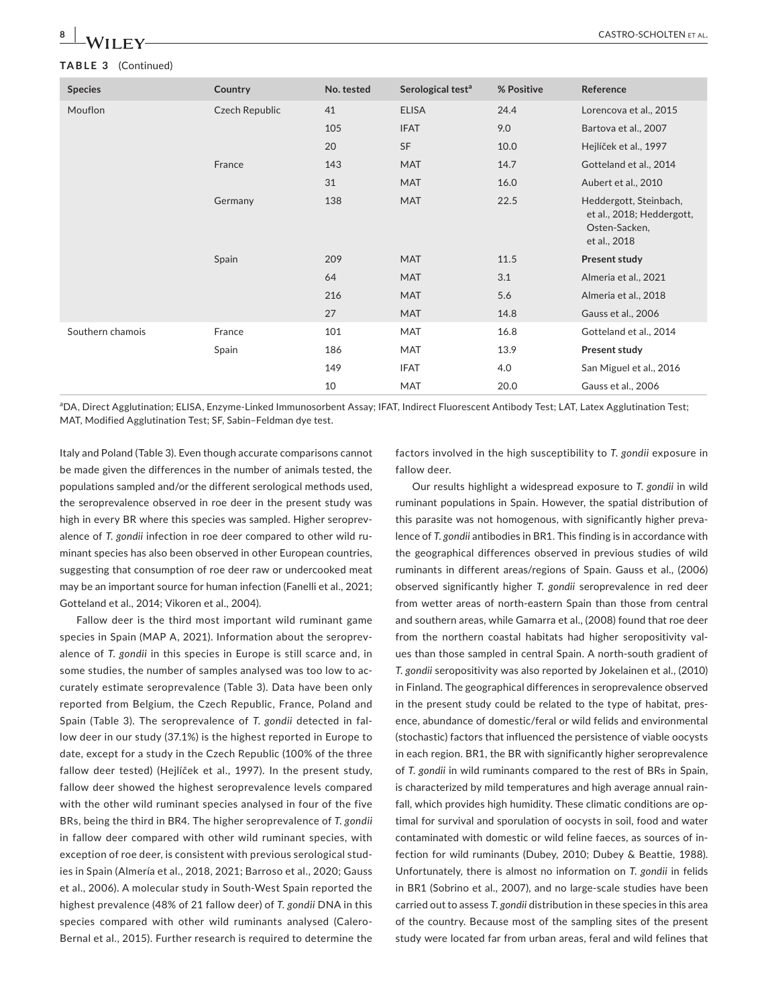#### **TABLE 3** (Continued)

| <b>Species</b>   | Country        | No. tested | Serological test <sup>a</sup> | % Positive | Reference                                                                            |
|------------------|----------------|------------|-------------------------------|------------|--------------------------------------------------------------------------------------|
| Mouflon          | Czech Republic | 41         | <b>ELISA</b>                  | 24.4       | Lorencova et al., 2015                                                               |
|                  |                | 105        | <b>IFAT</b>                   | 9.0        | Bartova et al., 2007                                                                 |
|                  |                | 20         | SF                            | 10.0       | Hejlíček et al., 1997                                                                |
|                  | France         | 143        | <b>MAT</b>                    | 14.7       | Gotteland et al., 2014                                                               |
|                  |                | 31         | <b>MAT</b>                    | 16.0       | Aubert et al., 2010                                                                  |
|                  | Germany        | 138        | <b>MAT</b>                    | 22.5       | Heddergott, Steinbach,<br>et al., 2018; Heddergott,<br>Osten-Sacken,<br>et al., 2018 |
|                  | Spain          | 209        | <b>MAT</b>                    | 11.5       | Present study                                                                        |
|                  |                | 64         | <b>MAT</b>                    | 3.1        | Almeria et al., 2021                                                                 |
|                  |                | 216        | <b>MAT</b>                    | 5.6        | Almeria et al., 2018                                                                 |
|                  |                | 27         | <b>MAT</b>                    | 14.8       | Gauss et al., 2006                                                                   |
| Southern chamois | France         | 101        | MAT                           | 16.8       | Gotteland et al., 2014                                                               |
|                  | Spain          | 186        | MAT                           | 13.9       | Present study                                                                        |
|                  |                | 149        | <b>IFAT</b>                   | 4.0        | San Miguel et al., 2016                                                              |
|                  |                | 10         | MAT                           | 20.0       | Gauss et al., 2006                                                                   |

a DA, Direct Agglutination; ELISA, Enzyme-Linked Immunosorbent Assay; IFAT, Indirect Fluorescent Antibody Test; LAT, Latex Agglutination Test; MAT, Modified Agglutination Test; SF, Sabin–Feldman dye test.

Italy and Poland (Table 3). Even though accurate comparisons cannot be made given the differences in the number of animals tested, the populations sampled and/or the different serological methods used, the seroprevalence observed in roe deer in the present study was high in every BR where this species was sampled. Higher seroprevalence of *T. gondii* infection in roe deer compared to other wild ruminant species has also been observed in other European countries, suggesting that consumption of roe deer raw or undercooked meat may be an important source for human infection (Fanelli et al., 2021; Gotteland et al., 2014; Vikoren et al., 2004).

Fallow deer is the third most important wild ruminant game species in Spain (MAP A, 2021). Information about the seroprevalence of *T. gondii* in this species in Europe is still scarce and, in some studies, the number of samples analysed was too low to accurately estimate seroprevalence (Table 3). Data have been only reported from Belgium, the Czech Republic, France, Poland and Spain (Table 3). The seroprevalence of *T. gondii* detected in fallow deer in our study (37.1%) is the highest reported in Europe to date, except for a study in the Czech Republic (100% of the three fallow deer tested) (Hejlíček et al., 1997). In the present study, fallow deer showed the highest seroprevalence levels compared with the other wild ruminant species analysed in four of the five BRs, being the third in BR4. The higher seroprevalence of *T. gondii* in fallow deer compared with other wild ruminant species, with exception of roe deer, is consistent with previous serological studies in Spain (Almería et al., 2018, 2021; Barroso et al., 2020; Gauss et al., 2006). A molecular study in South-West Spain reported the highest prevalence (48% of 21 fallow deer) of *T. gondii* DNA in this species compared with other wild ruminants analysed (Calero-Bernal et al., 2015). Further research is required to determine the

factors involved in the high susceptibility to *T. gondii* exposure in fallow deer.

Our results highlight a widespread exposure to *T. gondii* in wild ruminant populations in Spain. However, the spatial distribution of this parasite was not homogenous, with significantly higher prevalence of *T. gondii* antibodies in BR1. This finding is in accordance with the geographical differences observed in previous studies of wild ruminants in different areas/regions of Spain. Gauss et al., (2006) observed significantly higher *T. gondii* seroprevalence in red deer from wetter areas of north-eastern Spain than those from central and southern areas, while Gamarra et al., (2008) found that roe deer from the northern coastal habitats had higher seropositivity values than those sampled in central Spain. A north-south gradient of *T. gondii* seropositivity was also reported by Jokelainen et al., (2010) in Finland. The geographical differences in seroprevalence observed in the present study could be related to the type of habitat, presence, abundance of domestic/feral or wild felids and environmental (stochastic) factors that influenced the persistence of viable oocysts in each region. BR1, the BR with significantly higher seroprevalence of *T. gondii* in wild ruminants compared to the rest of BRs in Spain, is characterized by mild temperatures and high average annual rainfall, which provides high humidity. These climatic conditions are optimal for survival and sporulation of oocysts in soil, food and water contaminated with domestic or wild feline faeces, as sources of infection for wild ruminants (Dubey, 2010; Dubey & Beattie, 1988). Unfortunately, there is almost no information on *T. gondii* in felids in BR1 (Sobrino et al., 2007), and no large-scale studies have been carried out to assess *T. gondii* distribution in these species in this area of the country. Because most of the sampling sites of the present study were located far from urban areas, feral and wild felines that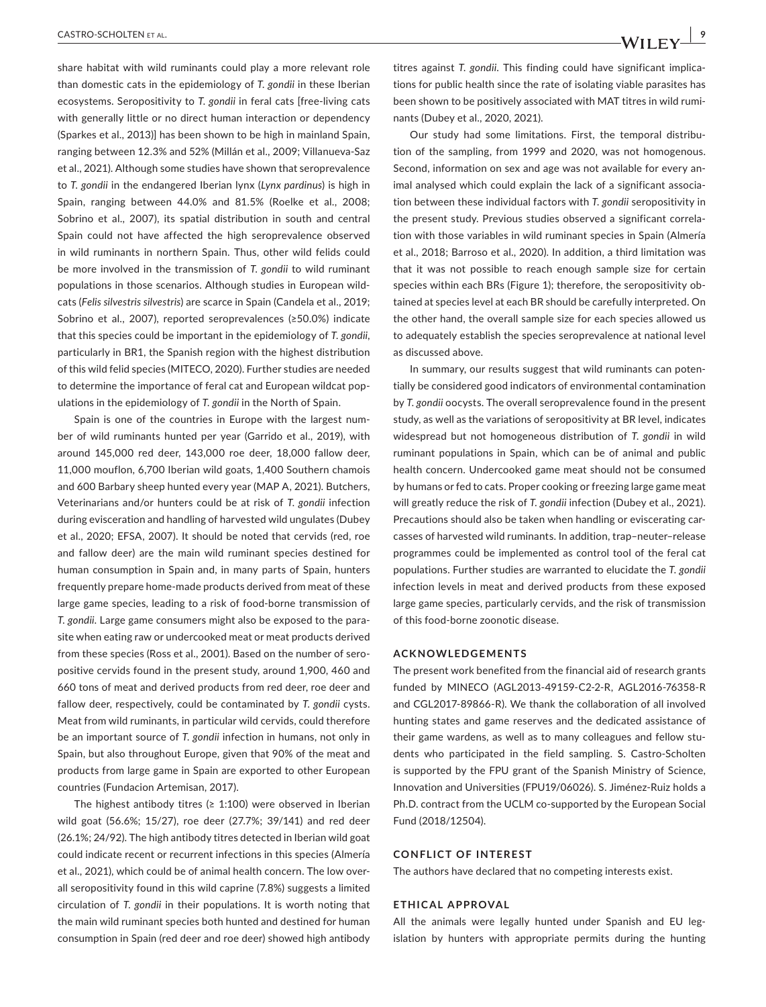share habitat with wild ruminants could play a more relevant role than domestic cats in the epidemiology of *T. gondii* in these Iberian ecosystems. Seropositivity to *T. gondii* in feral cats [free-living cats with generally little or no direct human interaction or dependency (Sparkes et al., 2013)] has been shown to be high in mainland Spain, ranging between 12.3% and 52% (Millán et al., 2009; Villanueva-Saz et al., 2021). Although some studies have shown that seroprevalence to *T. gondii* in the endangered Iberian lynx (*Lynx pardinus*) is high in Spain, ranging between 44.0% and 81.5% (Roelke et al., 2008; Sobrino et al., 2007), its spatial distribution in south and central Spain could not have affected the high seroprevalence observed in wild ruminants in northern Spain. Thus, other wild felids could be more involved in the transmission of *T. gondii* to wild ruminant populations in those scenarios. Although studies in European wildcats (*Felis silvestris silvestris*) are scarce in Spain (Candela et al., 2019; Sobrino et al., 2007), reported seroprevalences (≥50.0%) indicate that this species could be important in the epidemiology of *T. gondii*, particularly in BR1, the Spanish region with the highest distribution of this wild felid species (MITECO, 2020). Further studies are needed to determine the importance of feral cat and European wildcat populations in the epidemiology of *T. gondii* in the North of Spain.

Spain is one of the countries in Europe with the largest number of wild ruminants hunted per year (Garrido et al., 2019), with around 145,000 red deer, 143,000 roe deer, 18,000 fallow deer, 11,000 mouflon, 6,700 Iberian wild goats, 1,400 Southern chamois and 600 Barbary sheep hunted every year (MAP A, 2021). Butchers, Veterinarians and/or hunters could be at risk of *T. gondii* infection during evisceration and handling of harvested wild ungulates (Dubey et al., 2020; EFSA, 2007). It should be noted that cervids (red, roe and fallow deer) are the main wild ruminant species destined for human consumption in Spain and, in many parts of Spain, hunters frequently prepare home-made products derived from meat of these large game species, leading to a risk of food-borne transmission of *T. gondii*. Large game consumers might also be exposed to the parasite when eating raw or undercooked meat or meat products derived from these species (Ross et al., 2001). Based on the number of seropositive cervids found in the present study, around 1,900, 460 and 660 tons of meat and derived products from red deer, roe deer and fallow deer, respectively, could be contaminated by *T. gondii* cysts. Meat from wild ruminants, in particular wild cervids, could therefore be an important source of *T. gondii* infection in humans, not only in Spain, but also throughout Europe, given that 90% of the meat and products from large game in Spain are exported to other European countries (Fundacion Artemisan, 2017).

The highest antibody titres ( $\geq$  1:100) were observed in Iberian wild goat (56.6%; 15/27), roe deer (27.7%; 39/141) and red deer (26.1%; 24/92). The high antibody titres detected in Iberian wild goat could indicate recent or recurrent infections in this species (Almería et al., 2021), which could be of animal health concern. The low overall seropositivity found in this wild caprine (7.8%) suggests a limited circulation of *T. gondii* in their populations. It is worth noting that the main wild ruminant species both hunted and destined for human consumption in Spain (red deer and roe deer) showed high antibody

titres against *T. gondii*. This finding could have significant implications for public health since the rate of isolating viable parasites has been shown to be positively associated with MAT titres in wild ruminants (Dubey et al., 2020, 2021).

Our study had some limitations. First, the temporal distribution of the sampling, from 1999 and 2020, was not homogenous. Second, information on sex and age was not available for every animal analysed which could explain the lack of a significant association between these individual factors with *T. gondii* seropositivity in the present study. Previous studies observed a significant correlation with those variables in wild ruminant species in Spain (Almería et al., 2018; Barroso et al., 2020). In addition, a third limitation was that it was not possible to reach enough sample size for certain species within each BRs (Figure 1); therefore, the seropositivity obtained at species level at each BR should be carefully interpreted. On the other hand, the overall sample size for each species allowed us to adequately establish the species seroprevalence at national level as discussed above.

In summary, our results suggest that wild ruminants can potentially be considered good indicators of environmental contamination by *T. gondii* oocysts. The overall seroprevalence found in the present study, as well as the variations of seropositivity at BR level, indicates widespread but not homogeneous distribution of *T. gondii* in wild ruminant populations in Spain, which can be of animal and public health concern. Undercooked game meat should not be consumed by humans or fed to cats. Proper cooking or freezing large game meat will greatly reduce the risk of *T. gondii* infection (Dubey et al., 2021). Precautions should also be taken when handling or eviscerating carcasses of harvested wild ruminants. In addition, trap–neuter–release programmes could be implemented as control tool of the feral cat populations. Further studies are warranted to elucidate the *T. gondii* infection levels in meat and derived products from these exposed large game species, particularly cervids, and the risk of transmission of this food-borne zoonotic disease.

#### **ACKNOWLEDGEMENTS**

The present work benefited from the financial aid of research grants funded by MINECO (AGL2013-49159-C2-2-R, AGL2016-76358-R and CGL2017-89866-R). We thank the collaboration of all involved hunting states and game reserves and the dedicated assistance of their game wardens, as well as to many colleagues and fellow students who participated in the field sampling. S. Castro-Scholten is supported by the FPU grant of the Spanish Ministry of Science, Innovation and Universities (FPU19/06026). S. Jiménez-Ruiz holds a Ph.D. contract from the UCLM co-supported by the European Social Fund (2018/12504).

#### **CONFLICT OF INTEREST**

The authors have declared that no competing interests exist.

#### **ETHICAL APPROVAL**

All the animals were legally hunted under Spanish and EU legislation by hunters with appropriate permits during the hunting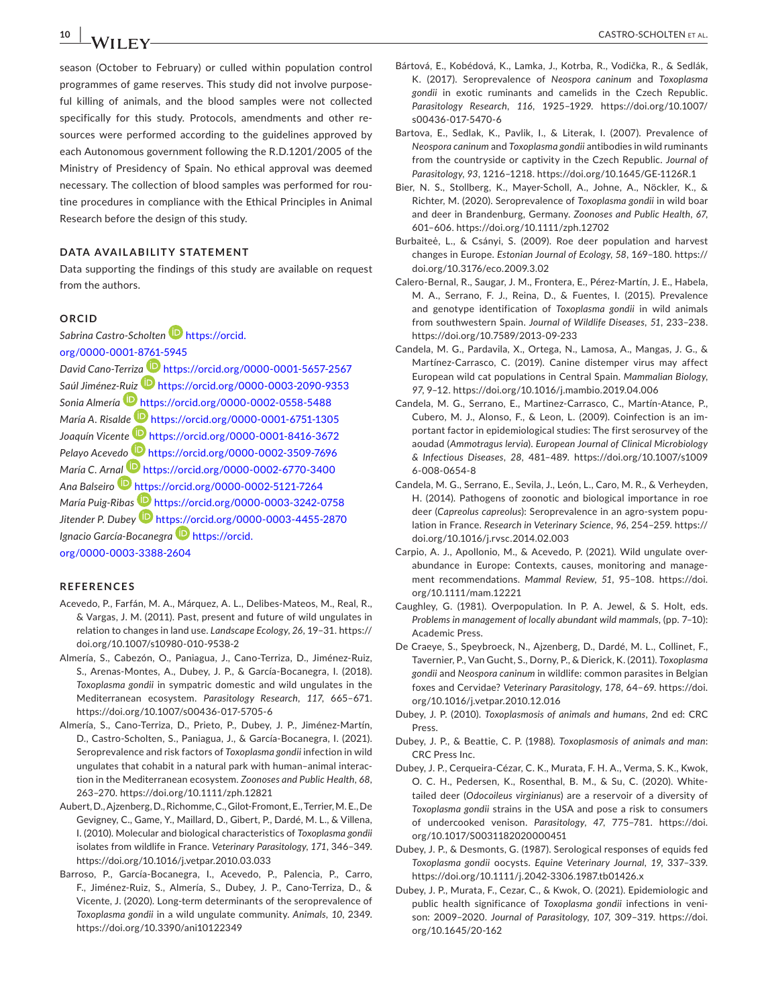season (October to February) or culled within population control programmes of game reserves. This study did not involve purposeful killing of animals, and the blood samples were not collected specifically for this study. Protocols, amendments and other resources were performed according to the guidelines approved by each Autonomous government following the R.D.1201/2005 of the Ministry of Presidency of Spain. No ethical approval was deemed necessary. The collection of blood samples was performed for routine procedures in compliance with the Ethical Principles in Animal Research before the design of this study.

## **DATA AVAILABILITY STATEMENT**

Data supporting the findings of this study are available on request from the authors.

### **ORCID**

*Sabrina Castro-Scholten* [https://orcid.](https://orcid.org/0000-0001-8761-5945)

[org/0000-0001-8761-5945](https://orcid.org/0000-0001-8761-5945) *David Cano-Terri[za](https://orcid.org/0000-0003-2090-9353)* <https://orcid.org/0000-0001-5657-2567> *Saúl Jiménez-[Ruiz](https://orcid.org/0000-0002-0558-5488)* <https://orcid.org/0000-0003-2090-9353>

*Sonia Almería* <https://orcid.org/0000-0002-0558-5488> *María A. Risald[e](https://orcid.org/0000-0001-8416-3672)* <https://orcid.org/0000-0001-6751-1305> *Joaquín Vicent[e](https://orcid.org/0000-0002-3509-7696)* <https://orcid.org/0000-0001-8416-3672> *Pelayo Aceved[o](https://orcid.org/0000-0002-6770-3400)* <https://orcid.org/0000-0002-3509-7696> *María C. Ar[nal](https://orcid.org/0000-0002-5121-7264)* <https://orcid.org/0000-0002-6770-3400> *Ana Balseiro* <https://orcid.org/0000-0002-5121-7264> *María Puig-Ribas* <https://orcid.org/0000-0003-3242-0758> *Jitender P. Dubey* <https://orcid.org/0000-0003-4455-2870> *Ignacio García-Bocanegra* [https://orcid.](https://orcid.org/0000-0003-3388-2604) [org/0000-0003-3388-2604](https://orcid.org/0000-0003-3388-2604)

#### **REFERENCES**

- Acevedo, P., Farfán, M. A., Márquez, A. L., Delibes-Mateos, M., Real, R., & Vargas, J. M. (2011). Past, present and future of wild ungulates in relation to changes in land use. *Landscape Ecology*, *26*, 19–31. [https://](https://doi.org/10.1007/s10980-010-9538-2) [doi.org/10.1007/s10980-010-9538-2](https://doi.org/10.1007/s10980-010-9538-2)
- Almería, S., Cabezón, O., Paniagua, J., Cano-Terriza, D., Jiménez-Ruiz, S., Arenas-Montes, A., Dubey, J. P., & García-Bocanegra, I. (2018). *Toxoplasma gondii* in sympatric domestic and wild ungulates in the Mediterranean ecosystem. *Parasitology Research*, *117*, 665–671. <https://doi.org/10.1007/s00436-017-5705-6>
- Almería, S., Cano-Terriza, D., Prieto, P., Dubey, J. P., Jiménez-Martín, D., Castro-Scholten, S., Paniagua, J., & García-Bocanegra, I. (2021). Seroprevalence and risk factors of *Toxoplasma gondii* infection in wild ungulates that cohabit in a natural park with human–animal interaction in the Mediterranean ecosystem. *Zoonoses and Public Health*, *68*, 263–270.<https://doi.org/10.1111/zph.12821>
- Aubert, D., Ajzenberg, D., Richomme, C., Gilot-Fromont, E., Terrier, M. E., De Gevigney, C., Game, Y., Maillard, D., Gibert, P., Dardé, M. L., & Villena, I. (2010). Molecular and biological characteristics of *Toxoplasma gondii* isolates from wildlife in France. *Veterinary Parasitology*, *171*, 346–349. <https://doi.org/10.1016/j.vetpar.2010.03.033>
- Barroso, P., García-Bocanegra, I., Acevedo, P., Palencia, P., Carro, F., Jiménez-Ruiz, S., Almería, S., Dubey, J. P., Cano-Terriza, D., & Vicente, J. (2020). Long-term determinants of the seroprevalence of *Toxoplasma gondii* in a wild ungulate community. *Animals*, *10*, 2349. <https://doi.org/10.3390/ani10122349>
- Bártová, E., Kobédová, K., Lamka, J., Kotrba, R., Vodička, R., & Sedlák, K. (2017). Seroprevalence of *Neospora caninum* and *Toxoplasma gondii* in exotic ruminants and camelids in the Czech Republic. *Parasitology Research*, *116*, 1925–1929. [https://doi.org/10.1007/](https://doi.org/10.1007/s00436-017-5470-6) [s00436-017-5470-6](https://doi.org/10.1007/s00436-017-5470-6)
- Bartova, E., Sedlak, K., Pavlik, I., & Literak, I. (2007). Prevalence of *Neospora caninum* and *Toxoplasma gondii* antibodies in wild ruminants from the countryside or captivity in the Czech Republic. *Journal of Parasitology*, *93*, 1216–1218. <https://doi.org/10.1645/GE-1126R.1>
- Bier, N. S., Stollberg, K., Mayer-Scholl, A., Johne, A., Nöckler, K., & Richter, M. (2020). Seroprevalence of *Toxoplasma gondii* in wild boar and deer in Brandenburg, Germany. *Zoonoses and Public Health*, *67*, 601–606. <https://doi.org/10.1111/zph.12702>
- Burbaiteė, L., & Csányi, S. (2009). Roe deer population and harvest changes in Europe. *Estonian Journal of Ecology*, *58*, 169–180. [https://](https://doi.org/10.3176/eco.2009.3.02) [doi.org/10.3176/eco.2009.3.02](https://doi.org/10.3176/eco.2009.3.02)
- Calero-Bernal, R., Saugar, J. M., Frontera, E., Pérez-Martín, J. E., Habela, M. A., Serrano, F. J., Reina, D., & Fuentes, I. (2015). Prevalence and genotype identification of *Toxoplasma gondii* in wild animals from southwestern Spain. *Journal of Wildlife Diseases*, *51*, 233–238. <https://doi.org/10.7589/2013-09-233>
- Candela, M. G., Pardavila, X., Ortega, N., Lamosa, A., Mangas, J. G., & Martínez-Carrasco, C. (2019). Canine distemper virus may affect European wild cat populations in Central Spain. *Mammalian Biology*, *97*, 9–12.<https://doi.org/10.1016/j.mambio.2019.04.006>
- Candela, M. G., Serrano, E., Martinez-Carrasco, C., Martín-Atance, P., Cubero, M. J., Alonso, F., & Leon, L. (2009). Coinfection is an important factor in epidemiological studies: The first serosurvey of the aoudad (*Ammotragus lervia*). *European Journal of Clinical Microbiology & Infectious Diseases*, *28*, 481–489. [https://doi.org/10.1007/s1009](https://doi.org/10.1007/s10096-008-0654-8) [6-008-0654-8](https://doi.org/10.1007/s10096-008-0654-8)
- Candela, M. G., Serrano, E., Sevila, J., León, L., Caro, M. R., & Verheyden, H. (2014). Pathogens of zoonotic and biological importance in roe deer (*Capreolus capreolus*): Seroprevalence in an agro-system population in France. *Research in Veterinary Science*, *96*, 254–259. [https://](https://doi.org/10.1016/j.rvsc.2014.02.003) [doi.org/10.1016/j.rvsc.2014.02.003](https://doi.org/10.1016/j.rvsc.2014.02.003)
- Carpio, A. J., Apollonio, M., & Acevedo, P. (2021). Wild ungulate overabundance in Europe: Contexts, causes, monitoring and management recommendations. *Mammal Review*, *51*, 95–108. [https://doi.](https://doi.org/10.1111/mam.12221) [org/10.1111/mam.12221](https://doi.org/10.1111/mam.12221)
- Caughley, G. (1981). Overpopulation. In P. A. Jewel, & S. Holt, eds. *Problems in management of locally abundant wild mammals*, (pp. 7–10): Academic Press.
- De Craeye, S., Speybroeck, N., Ajzenberg, D., Dardé, M. L., Collinet, F., Tavernier, P., Van Gucht, S., Dorny, P., & Dierick, K. (2011). *Toxoplasma gondii* and *Neospora caninum* in wildlife: common parasites in Belgian foxes and Cervidae? *Veterinary Parasitology*, *178*, 64–69. [https://doi.](https://doi.org/10.1016/j.vetpar.2010.12.016) [org/10.1016/j.vetpar.2010.12.016](https://doi.org/10.1016/j.vetpar.2010.12.016)
- Dubey, J. P. (2010). *Toxoplasmosis of animals and humans*, 2nd ed: CRC Press.
- Dubey, J. P., & Beattie, C. P. (1988). *Toxoplasmosis of animals and man*: CRC Press Inc.
- Dubey, J. P., Cerqueira-Cézar, C. K., Murata, F. H. A., Verma, S. K., Kwok, O. C. H., Pedersen, K., Rosenthal, B. M., & Su, C. (2020). Whitetailed deer (*Odocoileus virginianus*) are a reservoir of a diversity of *Toxoplasma gondii* strains in the USA and pose a risk to consumers of undercooked venison. *Parasitology*, *47*, 775–781. [https://doi.](https://doi.org/10.1017/S0031182020000451) [org/10.1017/S0031182020000451](https://doi.org/10.1017/S0031182020000451)
- Dubey, J. P., & Desmonts, G. (1987). Serological responses of equids fed *Toxoplasma gondii* oocysts. *Equine Veterinary Journal*, *19*, 337–339. <https://doi.org/10.1111/j.2042-3306.1987.tb01426.x>
- Dubey, J. P., Murata, F., Cezar, C., & Kwok, O. (2021). Epidemiologic and public health significance of *Toxoplasma gondii* infections in venison: 2009–2020. *Journal of Parasitology*, *107*, 309–319. [https://doi.](https://doi.org/10.1645/20-162) [org/10.1645/20-162](https://doi.org/10.1645/20-162)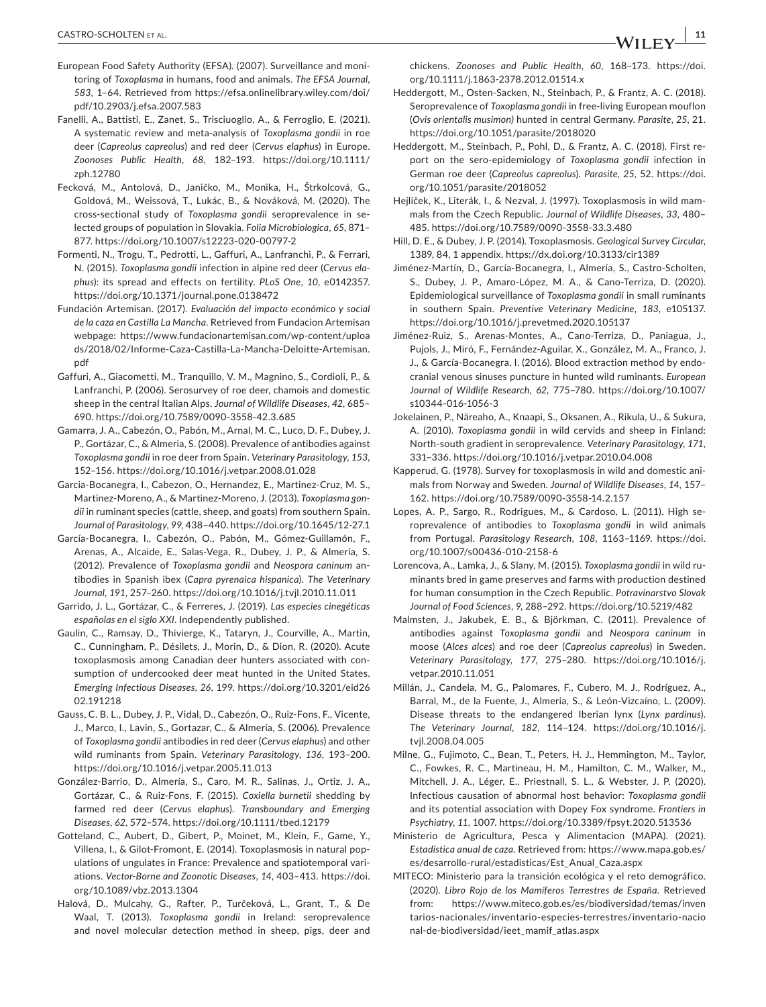- European Food Safety Authority (EFSA). (2007). Surveillance and monitoring of *Toxoplasma* in humans, food and animals. *The EFSA Journal*, *583*, 1–64. Retrieved from [https://efsa.onlinelibrary.wiley.com/doi/](https://efsa.onlinelibrary.wiley.com/doi/pdf/10.2903/j.efsa.2007.583) [pdf/10.2903/j.efsa.2007.583](https://efsa.onlinelibrary.wiley.com/doi/pdf/10.2903/j.efsa.2007.583)
- Fanelli, A., Battisti, E., Zanet, S., Trisciuoglio, A., & Ferroglio, E. (2021). A systematic review and meta-analysis of *Toxoplasma gondii* in roe deer (*Capreolus capreolus*) and red deer (*Cervus elaphus*) in Europe. *Zoonoses Public Health*, *68*, 182–193. [https://doi.org/10.1111/](https://doi.org/10.1111/zph.12780) [zph.12780](https://doi.org/10.1111/zph.12780)
- Fecková, M., Antolová, D., Janičko, M., Monika, H., Štrkolcová, G., Goldová, M., Weissová, T., Lukác, B., & Nováková, M. (2020). The cross-sectional study of *Toxoplasma gondii* seroprevalence in selected groups of population in Slovakia. *Folia Microbiologica*, *65*, 871– 877.<https://doi.org/10.1007/s12223-020-00797-2>
- Formenti, N., Trogu, T., Pedrotti, L., Gaffuri, A., Lanfranchi, P., & Ferrari, N. (2015). *Toxoplasma gondii* infection in alpine red deer (*Cervus elaphus*): its spread and effects on fertility. *PLoS One*, *10*, e0142357. <https://doi.org/10.1371/journal.pone.0138472>
- Fundación Artemisan. (2017). *Evaluación del impacto económico y social de la caza en Castilla La Mancha*. Retrieved from Fundacion Artemisan webpage: [https://www.fundacionartemisan.com/wp-content/uploa](https://www.fundacionartemisan.com/wp-content/uploads/2018/02/Informe-Caza-Castilla-La-Mancha-Deloitte-Artemisan.pdf) [ds/2018/02/Informe-Caza-Castilla-La-Mancha-Deloitte-Artemisan.](https://www.fundacionartemisan.com/wp-content/uploads/2018/02/Informe-Caza-Castilla-La-Mancha-Deloitte-Artemisan.pdf) [pdf](https://www.fundacionartemisan.com/wp-content/uploads/2018/02/Informe-Caza-Castilla-La-Mancha-Deloitte-Artemisan.pdf)
- Gaffuri, A., Giacometti, M., Tranquillo, V. M., Magnino, S., Cordioli, P., & Lanfranchi, P. (2006). Serosurvey of roe deer, chamois and domestic sheep in the central Italian Alps. *Journal of Wildlife Diseases*, *42*, 685– 690. <https://doi.org/10.7589/0090-3558-42.3.685>
- Gamarra, J. A., Cabezón, O., Pabón, M., Arnal, M. C., Luco, D. F., Dubey, J. P., Gortázar, C., & Almeria, S. (2008). Prevalence of antibodies against *Toxoplasma gondii* in roe deer from Spain. *Veterinary Parasitology*, *153*, 152–156.<https://doi.org/10.1016/j.vetpar.2008.01.028>
- Garcia-Bocanegra, I., Cabezon, O., Hernandez, E., Martinez-Cruz, M. S., Martinez-Moreno, A., & Martinez-Moreno, J. (2013). *Toxoplasma gondii* in ruminant species (cattle, sheep, and goats) from southern Spain. *Journal of Parasitology*, *99*, 438–440.<https://doi.org/10.1645/12-27.1>
- García-Bocanegra, I., Cabezón, O., Pabón, M., Gómez-Guillamón, F., Arenas, A., Alcaide, E., Salas-Vega, R., Dubey, J. P., & Almería, S. (2012). Prevalence of *Toxoplasma gondii* and *Neospora caninum* antibodies in Spanish ibex (*Capra pyrenaica hispanica*). *The Veterinary Journal*, *191*, 257–260. <https://doi.org/10.1016/j.tvjl.2010.11.011>
- Garrido, J. L., Gortázar, C., & Ferreres, J. (2019). *Las especies cinegéticas españolas en el siglo XXI*. Independently published.
- Gaulin, C., Ramsay, D., Thivierge, K., Tataryn, J., Courville, A., Martin, C., Cunningham, P., Désilets, J., Morin, D., & Dion, R. (2020). Acute toxoplasmosis among Canadian deer hunters associated with consumption of undercooked deer meat hunted in the United States. *Emerging Infectious Diseases*, *26*, 199. [https://doi.org/10.3201/eid26](https://doi.org/10.3201/eid2602.191218) [02.191218](https://doi.org/10.3201/eid2602.191218)
- Gauss, C. B. L., Dubey, J. P., Vidal, D., Cabezón, O., Ruiz-Fons, F., Vicente, J., Marco, I., Lavin, S., Gortazar, C., & Almería, S. (2006). Prevalence of *Toxoplasma gondii* antibodies in red deer (*Cervus elaphus*) and other wild ruminants from Spain. *Veterinary Parasitology*, *136*, 193–200. <https://doi.org/10.1016/j.vetpar.2005.11.013>
- González-Barrio, D., Almería, S., Caro, M. R., Salinas, J., Ortiz, J. A., Gortázar, C., & Ruiz-Fons, F. (2015). *Coxiella burnetii* shedding by farmed red deer (*Cervus elaphus*). *Transboundary and Emerging Diseases*, *62*, 572–574.<https://doi.org/10.1111/tbed.12179>
- Gotteland, C., Aubert, D., Gibert, P., Moinet, M., Klein, F., Game, Y., Villena, I., & Gilot-Fromont, E. (2014). Toxoplasmosis in natural populations of ungulates in France: Prevalence and spatiotemporal variations. *Vector-Borne and Zoonotic Diseases*, *14*, 403–413. [https://doi.](https://doi.org/10.1089/vbz.2013.1304) [org/10.1089/vbz.2013.1304](https://doi.org/10.1089/vbz.2013.1304)
- Halová, D., Mulcahy, G., Rafter, P., Turčeková, L., Grant, T., & De Waal, T. (2013). *Toxoplasma gondii* in Ireland: seroprevalence and novel molecular detection method in sheep, pigs, deer and

chickens. *Zoonoses and Public Health*, *60*, 168–173. [https://doi.](https://doi.org/10.1111/j.1863-2378.2012.01514.x) [org/10.1111/j.1863-2378.2012.01514.x](https://doi.org/10.1111/j.1863-2378.2012.01514.x)

- Heddergott, M., Osten-Sacken, N., Steinbach, P., & Frantz, A. C. (2018). Seroprevalence of *Toxoplasma gondii* in free-living European mouflon (*Ovis orientalis musimon)* hunted in central Germany. *Parasite*, *25*, 21. <https://doi.org/10.1051/parasite/2018020>
- Heddergott, M., Steinbach, P., Pohl, D., & Frantz, A. C. (2018). First report on the sero-epidemiology of *Toxoplasma gondii* infection in German roe deer (*Capreolus capreolus*). *Parasite*, *25*, 52. [https://doi.](https://doi.org/10.1051/parasite/2018052) [org/10.1051/parasite/2018052](https://doi.org/10.1051/parasite/2018052)
- Hejlíček, K., Literák, I., & Nezval, J. (1997). Toxoplasmosis in wild mammals from the Czech Republic. *Journal of Wildlife Diseases*, *33*, 480– 485. <https://doi.org/10.7589/0090-3558-33.3.480>
- Hill, D. E., & Dubey, J. P. (2014). Toxoplasmosis. *Geological Survey Circular*, 1389, 84, 1 appendix.<https://dx.doi.org/10.3133/cir1389>
- Jiménez-Martín, D., García-Bocanegra, I., Almería, S., Castro-Scholten, S., Dubey, J. P., Amaro-López, M. A., & Cano-Terriza, D. (2020). Epidemiological surveillance of *Toxoplasma gondii* in small ruminants in southern Spain. *Preventive Veterinary Medicine*, *183*, e105137. <https://doi.org/10.1016/j.prevetmed.2020.105137>
- Jiménez-Ruiz, S., Arenas-Montes, A., Cano-Terriza, D., Paniagua, J., Pujols, J., Miró, F., Fernández-Aguilar, X., González, M. A., Franco, J. J., & García-Bocanegra, I. (2016). Blood extraction method by endocranial venous sinuses puncture in hunted wild ruminants. *European Journal of Wildlife Research*, *62*, 775–780. [https://doi.org/10.1007/](https://doi.org/10.1007/s10344-016-1056-3) [s10344-016-1056-3](https://doi.org/10.1007/s10344-016-1056-3)
- Jokelainen, P., Näreaho, A., Knaapi, S., Oksanen, A., Rikula, U., & Sukura, A. (2010). *Toxoplasma gondii* in wild cervids and sheep in Finland: North-south gradient in seroprevalence. *Veterinary Parasitology*, *171*, 331–336. <https://doi.org/10.1016/j.vetpar.2010.04.008>
- Kapperud, G. (1978). Survey for toxoplasmosis in wild and domestic animals from Norway and Sweden. *Journal of Wildlife Diseases*, *14*, 157– 162. <https://doi.org/10.7589/0090-3558-14.2.157>
- Lopes, A. P., Sargo, R., Rodrigues, M., & Cardoso, L. (2011). High seroprevalence of antibodies to *Toxoplasma gondii* in wild animals from Portugal. *Parasitology Research*, *108*, 1163–1169. [https://doi.](https://doi.org/10.1007/s00436-010-2158-6) [org/10.1007/s00436-010-2158-6](https://doi.org/10.1007/s00436-010-2158-6)
- Lorencova, A., Lamka, J., & Slany, M. (2015). *Toxoplasma gondii* in wild ruminants bred in game preserves and farms with production destined for human consumption in the Czech Republic. *Potravinarstvo Slovak Journal of Food Sciences*, *9*, 288–292. <https://doi.org/10.5219/482>
- Malmsten, J., Jakubek, E. B., & Björkman, C. (2011). Prevalence of antibodies against *Toxoplasma gondii* and *Neospora caninum* in moose (*Alces alces*) and roe deer (*Capreolus capreolus*) in Sweden. *Veterinary Parasitology*, *177*, 275–280. [https://doi.org/10.1016/j.](https://doi.org/10.1016/j.vetpar.2010.11.051) [vetpar.2010.11.051](https://doi.org/10.1016/j.vetpar.2010.11.051)
- Millán, J., Candela, M. G., Palomares, F., Cubero, M. J., Rodríguez, A., Barral, M., de la Fuente, J., Almería, S., & León-Vizcaíno, L. (2009). Disease threats to the endangered Iberian lynx (*Lynx pardinus*). *The Veterinary Journal*, *182*, 114–124. [https://doi.org/10.1016/j.](https://doi.org/10.1016/j.tvjl.2008.04.005) [tvjl.2008.04.005](https://doi.org/10.1016/j.tvjl.2008.04.005)
- Milne, G., Fujimoto, C., Bean, T., Peters, H. J., Hemmington, M., Taylor, C., Fowkes, R. C., Martineau, H. M., Hamilton, C. M., Walker, M., Mitchell, J. A., Léger, E., Priestnall, S. L., & Webster, J. P. (2020). Infectious causation of abnormal host behavior: *Toxoplasma gondii* and its potential association with Dopey Fox syndrome. *Frontiers in Psychiatry*, *11*, 1007.<https://doi.org/10.3389/fpsyt.2020.513536>
- Ministerio de Agricultura, Pesca y Alimentacion (MAPA). (2021). *Estadística anual de caza*. Retrieved from: [https://www.mapa.gob.es/](https://www.mapa.gob.es/es/desarrollo-rural/estadisticas/Est_Anual_Caza.aspx) [es/desarrollo-rural/estadisticas/Est\\_Anual\\_Caza.aspx](https://www.mapa.gob.es/es/desarrollo-rural/estadisticas/Est_Anual_Caza.aspx)
- MITECO: Ministerio para la transición ecológica y el reto demográfico. (2020). *Libro Rojo de los Mamíferos Terrestres de España*. Retrieved from: [https://www.miteco.gob.es/es/biodiversidad/temas/inven](https://www.miteco.gob.es/es/biodiversidad/temas/inventarios-nacionales/inventario-especies-terrestres/inventario-nacional-de-biodiversidad/ieet_mamif_atlas.aspx) [tarios-nacionales/inventario-especies-terrestres/inventario-nacio](https://www.miteco.gob.es/es/biodiversidad/temas/inventarios-nacionales/inventario-especies-terrestres/inventario-nacional-de-biodiversidad/ieet_mamif_atlas.aspx) [nal-de-biodiversidad/ieet\\_mamif\\_atlas.aspx](https://www.miteco.gob.es/es/biodiversidad/temas/inventarios-nacionales/inventario-especies-terrestres/inventario-nacional-de-biodiversidad/ieet_mamif_atlas.aspx)